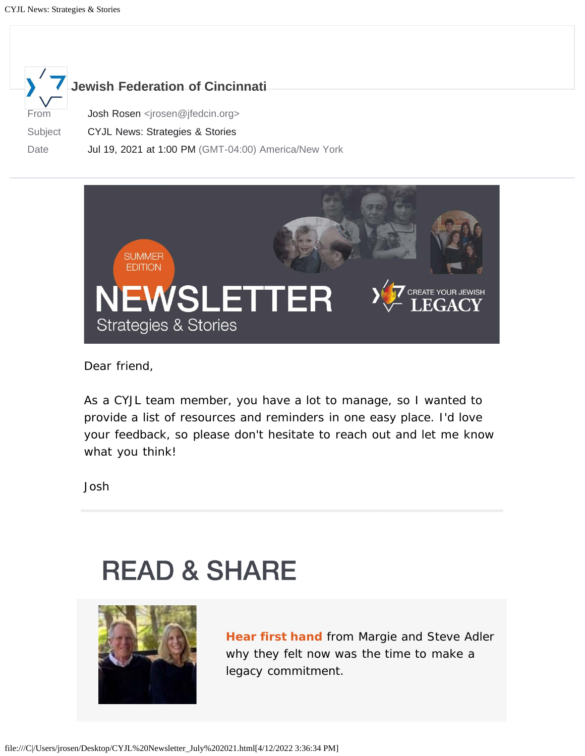



Dear friend,

As a CYJL team member, you have a lot to manage, so I wanted to provide a list of resources and reminders in one easy place. I'd love your feedback, so please don't hesitate to reach out and let me know what you think!

Josh

## **READ & SHARE**



**Hear first hand** from Margie and Steve Adler why they felt now was the time to make a legacy commitment.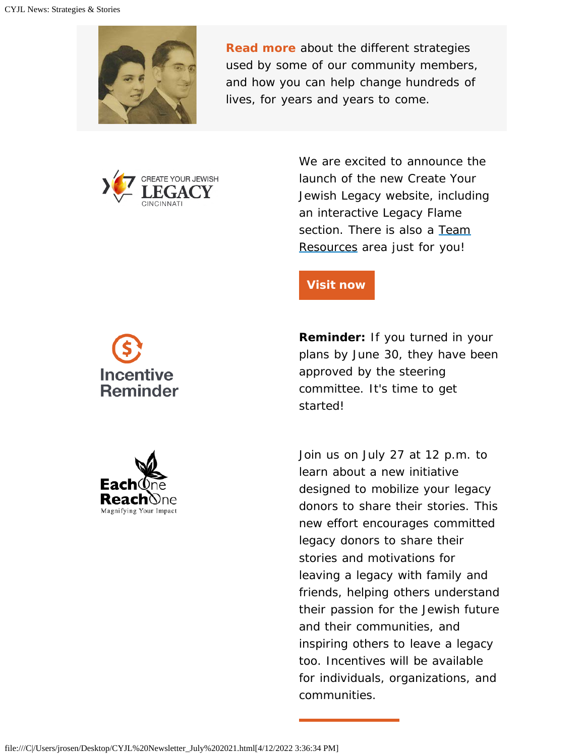

**Read more** about the different strategies used by some of our community members, and how you can help change hundreds of lives, for years and years to come.



We are excited to announce the launch of the new Create Your Jewish Legacy website, including an interactive Legacy Flame section. There is also a [Team](https://createyourjewishlegacy.org/resources) [Resources](https://createyourjewishlegacy.org/resources) area just for you!

#### **[Visit now](https://createyourjewishlegacy.org/)**

**Reminder:** If you turned in your plans by June 30, they have been approved by the steering committee. It's time to get started!

Join us on July 27 at 12 p.m. to learn about a new initiative designed to mobilize your legacy donors to share their stories. This new effort encourages committed legacy donors to share their stories and motivations for leaving a legacy with family and friends, helping others understand their passion for the Jewish future and their communities, and inspiring others to leave a legacy too. Incentives will be available for individuals, organizations, and communities.

## Incentive **Reminder**

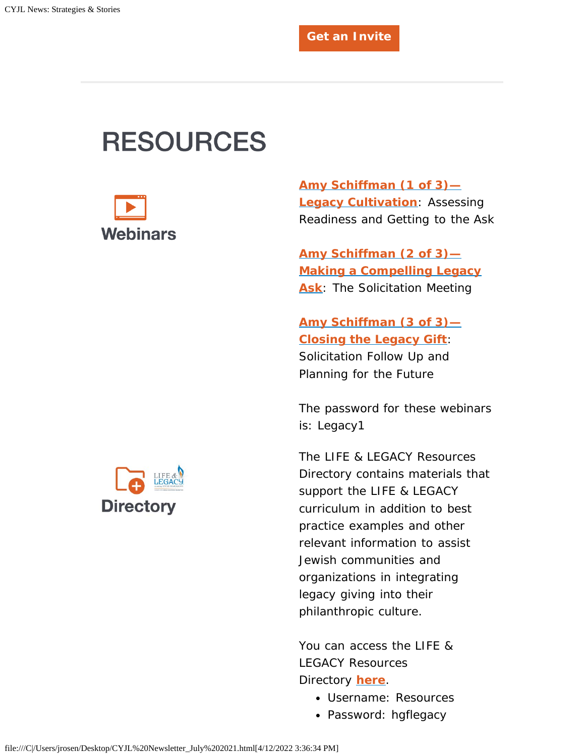### **RESOURCES**



**[Amy Schiffman \(1 of 3\)—](https://vimeo.com/543216334) [Legacy Cultivation](https://vimeo.com/543216334)**: Assessing Readiness and Getting to the Ask

**[Amy Schiffman \(2 of 3\)—](https://vimeo.com/569018465) [Making a Compelling Legacy](https://vimeo.com/569018465) [Ask](https://vimeo.com/569018465)**: The Solicitation Meeting

**[Amy Schiffman \(3 of 3\)—](https://vimeo.com/568997899) [Closing the Legacy Gift](https://vimeo.com/568997899)**: Solicitation Follow Up and Planning for the Future

*The password for these webinars is: Legacy1*

The LIFE & LEGACY Resources Directory contains materials that support the LIFE & LEGACY curriculum in addition to best practice examples and other relevant information to assist Jewish communities and organizations in integrating legacy giving into their philanthropic culture.

You can access the LIFE & LEGACY Resources Directory **[here](https://jewishlifelegacy.org/log-in)**.

- Username: Resources
- Password: hgflegacy

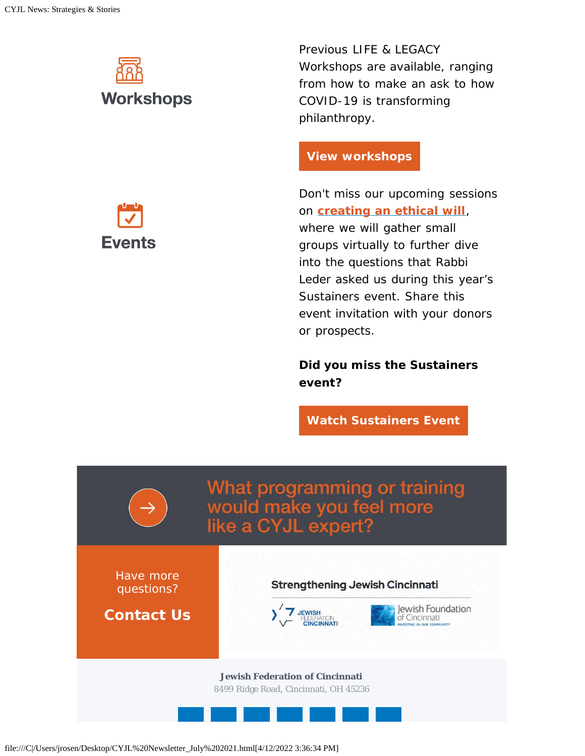# **Workshops**

**Events** 

Previous LIFE & LEGACY Workshops are available, ranging from how to make an ask to how COVID-19 is transforming philanthropy.

#### **[View workshops](https://jewishlifelegacy.org/annual-conference/powerpoints-and-recordings)**

Don't miss our upcoming sessions on **[creating an ethical will](https://jewishcincinnati.ticketspice.com/ethical-wills)**, where we will gather small groups virtually to further dive into the questions that Rabbi Leder asked us during this year's Sustainers event. Share this event invitation with your donors or prospects.

**Did you miss the Sustainers event?**

**[Watch Sustainers Event](https://vimeo.com/558303629)**



file:///C|/Users/jrosen/Desktop/CYJL%20Newsletter\_July%202021.html[4/12/2022 3:36:34 PM]